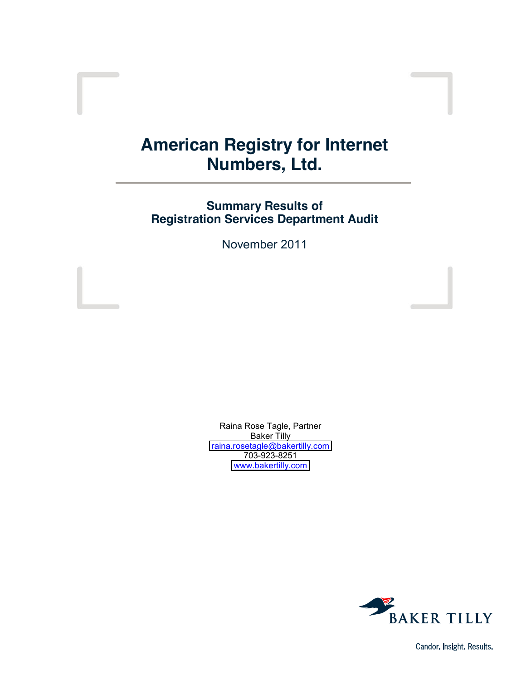# **American Registry for Internet Numbers, Ltd.**

# **Summary Results of Registration Services Department Audit**

November 2011

Raina Rose Tagle, Partner Baker Tilly [raina.rosetagle@bakertilly.com](mailto:raina.rosetagle@bakertilly.com) 703-923-8251 [www.bakertilly.com](http://www.bakertilly.com/)



Candor. Insight. Results.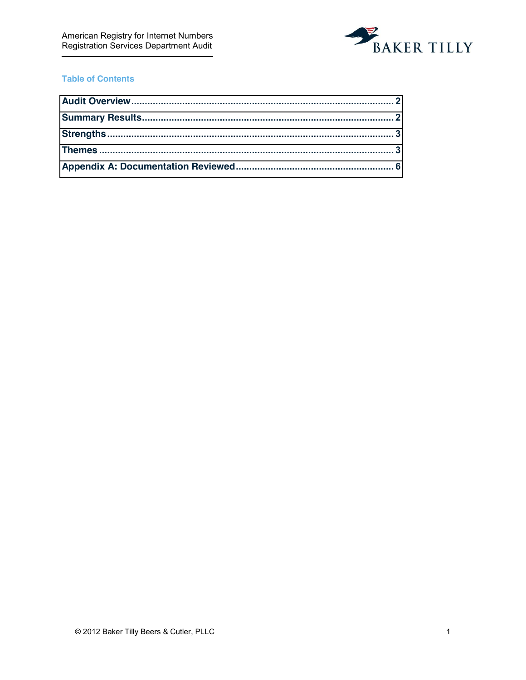

# **Table of Contents**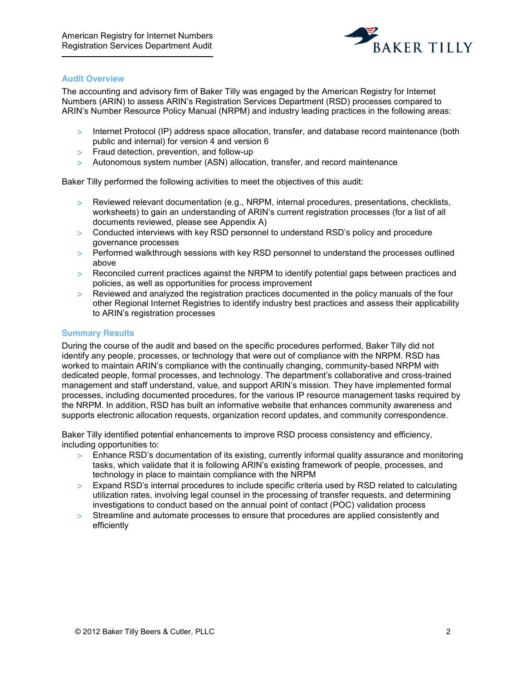

#### <span id="page-2-0"></span>**Audit Overview**

The accounting and advisory firm of Baker Tilly was engaged by the American Registry for Internet Numbers (ARIN) to assess ARIN's Registration Services Department (RSD) processes compared to ARIN's Number Resource Policy Manual (NRPM) and industry leading practices in the following areas:

- > Internet Protocol (IP) address space allocation, transfer, and database record maintenance (both public and internal) for version 4 and version 6
- > Fraud detection, prevention, and follow-up
- > Autonomous system number (ASN) allocation, transfer, and record maintenance

Baker Tilly performed the following activities to meet the objectives of this audit:

- > Reviewed relevant documentation (e.g., NRPM, internal procedures, presentations, checklists, worksheets) to gain an understanding of ARIN's current registration processes (for a list of all documents reviewed, please see Appendix A)
- $>$  Conducted interviews with key RSD personnel to understand RSD's policy and procedure governance processes
- ! Performed walkthrough sessions with key RSD personnel to understand the processes outlined above
- > Reconciled current practices against the NRPM to identify potential gaps between practices and policies, as well as opportunities for process improvement
- ! Reviewed and analyzed the registration practices documented in the policy manuals of the four other Regional Internet Registries to identify industry best practices and assess their applicability to ARIN's registration processes

#### <span id="page-2-1"></span>**Summary Results**

During the course of the audit and based on the specific procedures performed, Baker Tilly did not identify any people, processes, or technology that were out of compliance with the NRPM. RSD has worked to maintain ARIN's compliance with the continually changing, community-based NRPM with dedicated people, formal processes, and technology. The department's collaborative and cross-trained management and staff understand, value, and support ARIN's mission. They have implemented formal processes, including documented procedures, for the various IP resource management tasks required by the NRPM. In addition, RSD has built an informative website that enhances community awareness and supports electronic allocation requests, organization record updates, and community correspondence.

Baker Tilly identified potential enhancements to improve RSD process consistency and efficiency, including opportunities to:

- $\geq$  Enhance RSD's documentation of its existing, currently informal quality assurance and monitoring tasks, which validate that it is following ARIN's existing framework of people, processes, and technology in place to maintain compliance with the NRPM
- > Expand RSD's internal procedures to include specific criteria used by RSD related to calculating utilization rates, involving legal counsel in the processing of transfer requests, and determining investigations to conduct based on the annual point of contact (POC) validation process
- ! Streamline and automate processes to ensure that procedures are applied consistently and efficiently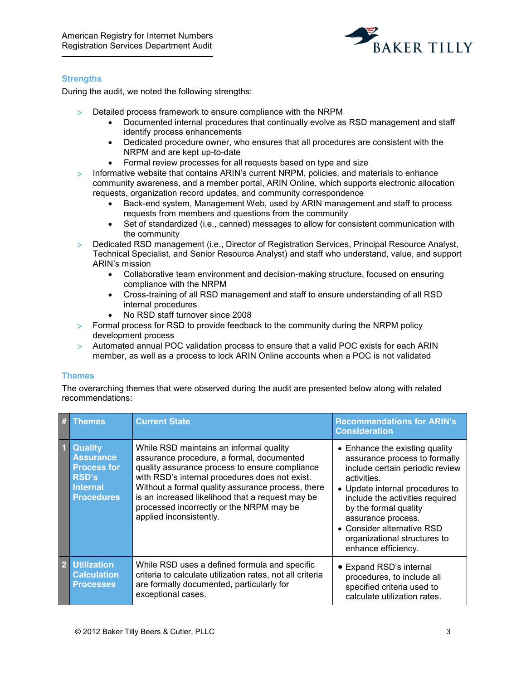

## <span id="page-3-0"></span>**Strengths**

During the audit, we noted the following strengths:

- > Detailed process framework to ensure compliance with the NRPM
	- Documented internal procedures that continually evolve as RSD management and staff identify process enhancements
	- Dedicated procedure owner, who ensures that all procedures are consistent with the NRPM and are kept up-to-date
	- Formal review processes for all requests based on type and size
- $>$  Informative website that contains ARIN's current NRPM, policies, and materials to enhance community awareness, and a member portal, ARIN Online, which supports electronic allocation requests, organization record updates, and community correspondence
	- Back-end system, Management Web, used by ARIN management and staff to process requests from members and questions from the community
	- Set of standardized (i.e., canned) messages to allow for consistent communication with the community
- > Dedicated RSD management (i.e., Director of Registration Services, Principal Resource Analyst, Technical Specialist, and Senior Resource Analyst) and staff who understand, value, and support ARIN's mission
	- Collaborative team environment and decision-making structure, focused on ensuring compliance with the NRPM
	- Cross-training of all RSD management and staff to ensure understanding of all RSD internal procedures
	- No RSD staff turnover since 2008
- > Formal process for RSD to provide feedback to the community during the NRPM policy development process
- ! Automated annual POC validation process to ensure that a valid POC exists for each ARIN member, as well as a process to lock ARIN Online accounts when a POC is not validated

## <span id="page-3-1"></span>**Themes**

The overarching themes that were observed during the audit are presented below along with related recommendations:

| #              | Themes                                                                                                           | <b>Current State</b>                                                                                                                                                                                                                                                                                                                                                     | <b>Recommendations for ARIN's</b><br><b>Consideration</b>                                                                                                                                                                                                                                                                   |
|----------------|------------------------------------------------------------------------------------------------------------------|--------------------------------------------------------------------------------------------------------------------------------------------------------------------------------------------------------------------------------------------------------------------------------------------------------------------------------------------------------------------------|-----------------------------------------------------------------------------------------------------------------------------------------------------------------------------------------------------------------------------------------------------------------------------------------------------------------------------|
| $\blacksquare$ | <b>Quality</b><br><b>Assurance</b><br><b>Process for</b><br><b>RSD's</b><br><b>Internal</b><br><b>Procedures</b> | While RSD maintains an informal quality<br>assurance procedure, a formal, documented<br>quality assurance process to ensure compliance<br>with RSD's internal procedures does not exist.<br>Without a formal quality assurance process, there<br>is an increased likelihood that a request may be<br>processed incorrectly or the NRPM may be<br>applied inconsistently. | • Enhance the existing quality<br>assurance process to formally<br>include certain periodic review<br>activities.<br>• Update internal procedures to<br>include the activities required<br>by the formal quality<br>assurance process.<br>• Consider alternative RSD<br>organizational structures to<br>enhance efficiency. |
| $\vert$ 2      | <b>Utilization</b><br><b>Calculation</b><br><b>Processes</b>                                                     | While RSD uses a defined formula and specific<br>criteria to calculate utilization rates, not all criteria<br>are formally documented, particularly for<br>exceptional cases.                                                                                                                                                                                            | • Expand RSD's internal<br>procedures, to include all<br>specified criteria used to<br>calculate utilization rates.                                                                                                                                                                                                         |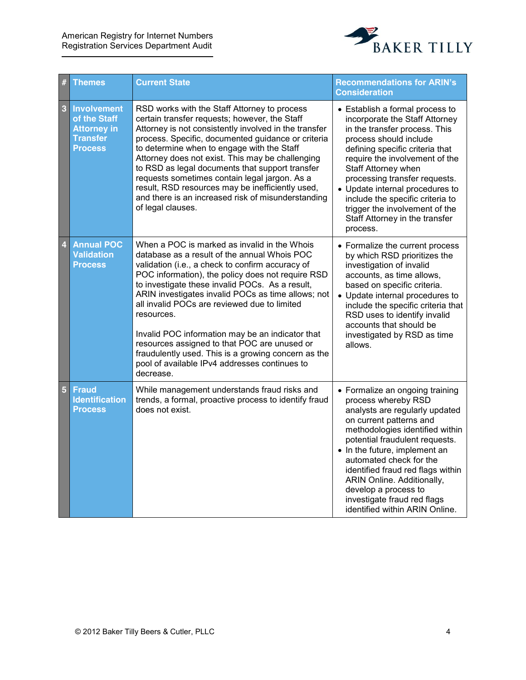

| #                       | <b>Themes</b>                                                                                 | <b>Current State</b>                                                                                                                                                                                                                                                                                                                                                                                                                                                                                                                                                                                  | <b>Recommendations for ARIN's</b><br><b>Consideration</b>                                                                                                                                                                                                                                                                                                                                                        |
|-------------------------|-----------------------------------------------------------------------------------------------|-------------------------------------------------------------------------------------------------------------------------------------------------------------------------------------------------------------------------------------------------------------------------------------------------------------------------------------------------------------------------------------------------------------------------------------------------------------------------------------------------------------------------------------------------------------------------------------------------------|------------------------------------------------------------------------------------------------------------------------------------------------------------------------------------------------------------------------------------------------------------------------------------------------------------------------------------------------------------------------------------------------------------------|
| 3                       | <b>Involvement</b><br>of the Staff<br><b>Attorney in</b><br><b>Transfer</b><br><b>Process</b> | RSD works with the Staff Attorney to process<br>certain transfer requests; however, the Staff<br>Attorney is not consistently involved in the transfer<br>process. Specific, documented guidance or criteria<br>to determine when to engage with the Staff<br>Attorney does not exist. This may be challenging<br>to RSD as legal documents that support transfer<br>requests sometimes contain legal jargon. As a<br>result, RSD resources may be inefficiently used,<br>and there is an increased risk of misunderstanding<br>of legal clauses.                                                     | • Establish a formal process to<br>incorporate the Staff Attorney<br>in the transfer process. This<br>process should include<br>defining specific criteria that<br>require the involvement of the<br>Staff Attorney when<br>processing transfer requests.<br>• Update internal procedures to<br>include the specific criteria to<br>trigger the involvement of the<br>Staff Attorney in the transfer<br>process. |
| $\overline{\mathbf{4}}$ | <b>Annual POC</b><br><b>Validation</b><br><b>Process</b>                                      | When a POC is marked as invalid in the Whois<br>database as a result of the annual Whois POC<br>validation (i.e., a check to confirm accuracy of<br>POC information), the policy does not require RSD<br>to investigate these invalid POCs. As a result,<br>ARIN investigates invalid POCs as time allows; not<br>all invalid POCs are reviewed due to limited<br>resources.<br>Invalid POC information may be an indicator that<br>resources assigned to that POC are unused or<br>fraudulently used. This is a growing concern as the<br>pool of available IPv4 addresses continues to<br>decrease. | • Formalize the current process<br>by which RSD prioritizes the<br>investigation of invalid<br>accounts, as time allows,<br>based on specific criteria.<br>• Update internal procedures to<br>include the specific criteria that<br>RSD uses to identify invalid<br>accounts that should be<br>investigated by RSD as time<br>allows.                                                                            |
| $5\phantom{.}$          | <b>Fraud</b><br><b>Identification</b><br><b>Process</b>                                       | While management understands fraud risks and<br>trends, a formal, proactive process to identify fraud<br>does not exist.                                                                                                                                                                                                                                                                                                                                                                                                                                                                              | • Formalize an ongoing training<br>process whereby RSD<br>analysts are regularly updated<br>on current patterns and<br>methodologies identified within<br>potential fraudulent requests.<br>• In the future, implement an<br>automated check for the<br>identified fraud red flags within<br>ARIN Online. Additionally,<br>develop a process to<br>investigate fraud red flags<br>identified within ARIN Online. |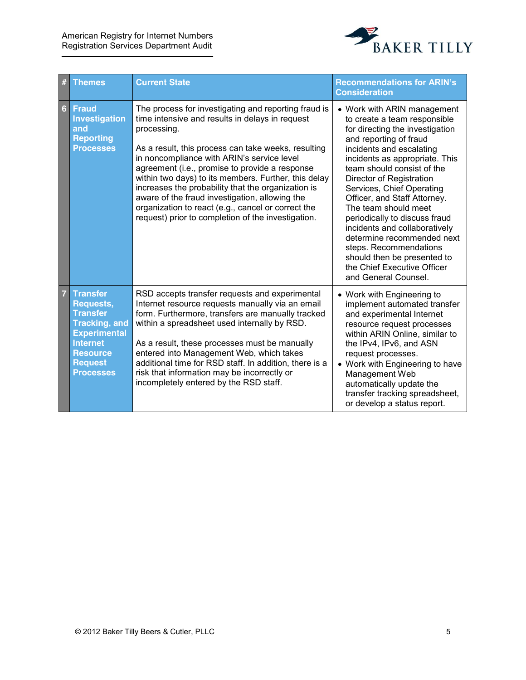

| #              | <b>Themes</b>                                                                                                                                                                     | <b>Current State</b>                                                                                                                                                                                                                                                                                                                                                                                                                                                                                                                                      | <b>Recommendations for ARIN's</b><br><b>Consideration</b>                                                                                                                                                                                                                                                                                                                                                                                                                                                                                             |
|----------------|-----------------------------------------------------------------------------------------------------------------------------------------------------------------------------------|-----------------------------------------------------------------------------------------------------------------------------------------------------------------------------------------------------------------------------------------------------------------------------------------------------------------------------------------------------------------------------------------------------------------------------------------------------------------------------------------------------------------------------------------------------------|-------------------------------------------------------------------------------------------------------------------------------------------------------------------------------------------------------------------------------------------------------------------------------------------------------------------------------------------------------------------------------------------------------------------------------------------------------------------------------------------------------------------------------------------------------|
| $6\phantom{1}$ | <b>Fraud</b><br>Investigation<br>and<br><b>Reporting</b><br><b>Processes</b>                                                                                                      | The process for investigating and reporting fraud is<br>time intensive and results in delays in request<br>processing.<br>As a result, this process can take weeks, resulting<br>in noncompliance with ARIN's service level<br>agreement (i.e., promise to provide a response<br>within two days) to its members. Further, this delay<br>increases the probability that the organization is<br>aware of the fraud investigation, allowing the<br>organization to react (e.g., cancel or correct the<br>request) prior to completion of the investigation. | • Work with ARIN management<br>to create a team responsible<br>for directing the investigation<br>and reporting of fraud<br>incidents and escalating<br>incidents as appropriate. This<br>team should consist of the<br>Director of Registration<br>Services, Chief Operating<br>Officer, and Staff Attorney.<br>The team should meet<br>periodically to discuss fraud<br>incidents and collaboratively<br>determine recommended next<br>steps. Recommendations<br>should then be presented to<br>the Chief Executive Officer<br>and General Counsel. |
| $\overline{7}$ | <b>Transfer</b><br><b>Requests,</b><br><b>Transfer</b><br><b>Tracking, and</b><br><b>Experimental</b><br><b>Internet</b><br><b>Resource</b><br><b>Request</b><br><b>Processes</b> | RSD accepts transfer requests and experimental<br>Internet resource requests manually via an email<br>form. Furthermore, transfers are manually tracked<br>within a spreadsheet used internally by RSD.<br>As a result, these processes must be manually<br>entered into Management Web, which takes<br>additional time for RSD staff. In addition, there is a<br>risk that information may be incorrectly or<br>incompletely entered by the RSD staff.                                                                                                   | • Work with Engineering to<br>implement automated transfer<br>and experimental Internet<br>resource request processes<br>within ARIN Online, similar to<br>the IPv4, IPv6, and ASN<br>request processes.<br>• Work with Engineering to have<br>Management Web<br>automatically update the<br>transfer tracking spreadsheet,<br>or develop a status report.                                                                                                                                                                                            |